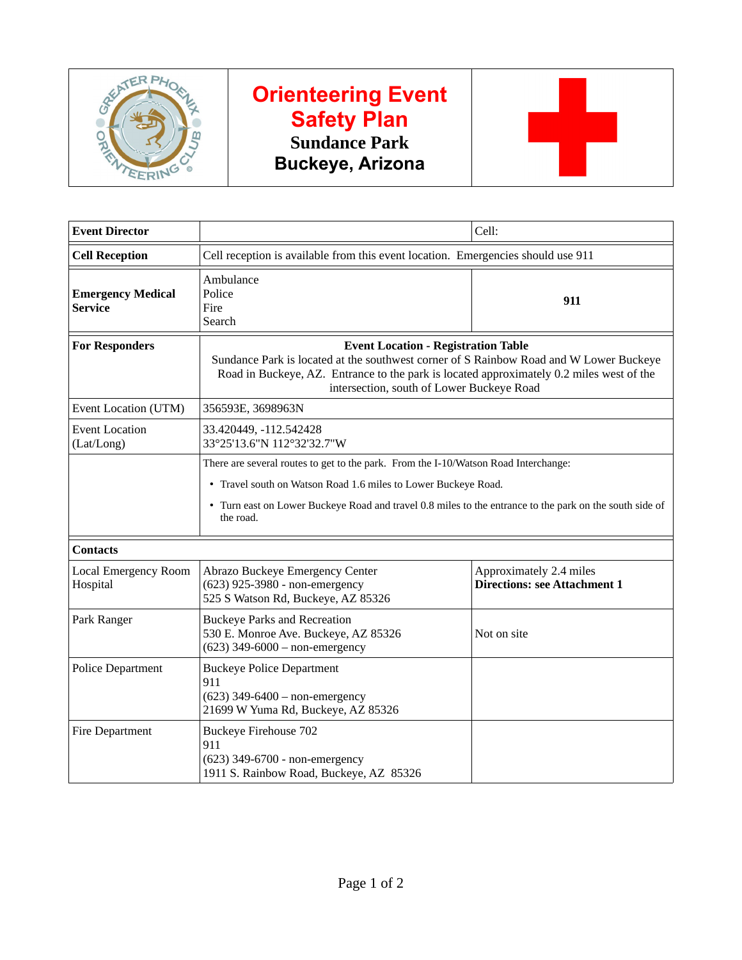

## **Orienteering Event Safety Plan Sundance Park Buckeye, Arizona**



| <b>Event Director</b>                      |                                                                                                                                                                                                                                                                               | Cell:                                                          |
|--------------------------------------------|-------------------------------------------------------------------------------------------------------------------------------------------------------------------------------------------------------------------------------------------------------------------------------|----------------------------------------------------------------|
| <b>Cell Reception</b>                      | Cell reception is available from this event location. Emergencies should use 911                                                                                                                                                                                              |                                                                |
| <b>Emergency Medical</b><br><b>Service</b> | Ambulance<br>Police<br>Fire<br>Search                                                                                                                                                                                                                                         | 911                                                            |
| <b>For Responders</b>                      | <b>Event Location - Registration Table</b><br>Sundance Park is located at the southwest corner of S Rainbow Road and W Lower Buckeye<br>Road in Buckeye, AZ. Entrance to the park is located approximately 0.2 miles west of the<br>intersection, south of Lower Buckeye Road |                                                                |
| Event Location (UTM)                       | 356593E, 3698963N                                                                                                                                                                                                                                                             |                                                                |
| <b>Event Location</b><br>(Lat/Long)        | 33.420449, -112.542428<br>33°25'13.6"N 112°32'32.7"W                                                                                                                                                                                                                          |                                                                |
|                                            | There are several routes to get to the park. From the I-10/Watson Road Interchange:<br>• Travel south on Watson Road 1.6 miles to Lower Buckeye Road.<br>• Turn east on Lower Buckeye Road and travel 0.8 miles to the entrance to the park on the south side of<br>the road. |                                                                |
| <b>Contacts</b>                            |                                                                                                                                                                                                                                                                               |                                                                |
| Local Emergency Room<br>Hospital           | Abrazo Buckeye Emergency Center<br>(623) 925-3980 - non-emergency<br>525 S Watson Rd, Buckeye, AZ 85326                                                                                                                                                                       | Approximately 2.4 miles<br><b>Directions: see Attachment 1</b> |
| Park Ranger                                | <b>Buckeye Parks and Recreation</b><br>530 E. Monroe Ave. Buckeye, AZ 85326<br>$(623)$ 349-6000 - non-emergency                                                                                                                                                               | Not on site                                                    |
| Police Department                          | <b>Buckeye Police Department</b><br>911<br>$(623)$ 349-6400 - non-emergency<br>21699 W Yuma Rd, Buckeye, AZ 85326                                                                                                                                                             |                                                                |
| Fire Department                            | <b>Buckeye Firehouse 702</b><br>911<br>(623) 349-6700 - non-emergency<br>1911 S. Rainbow Road, Buckeye, AZ 85326                                                                                                                                                              |                                                                |